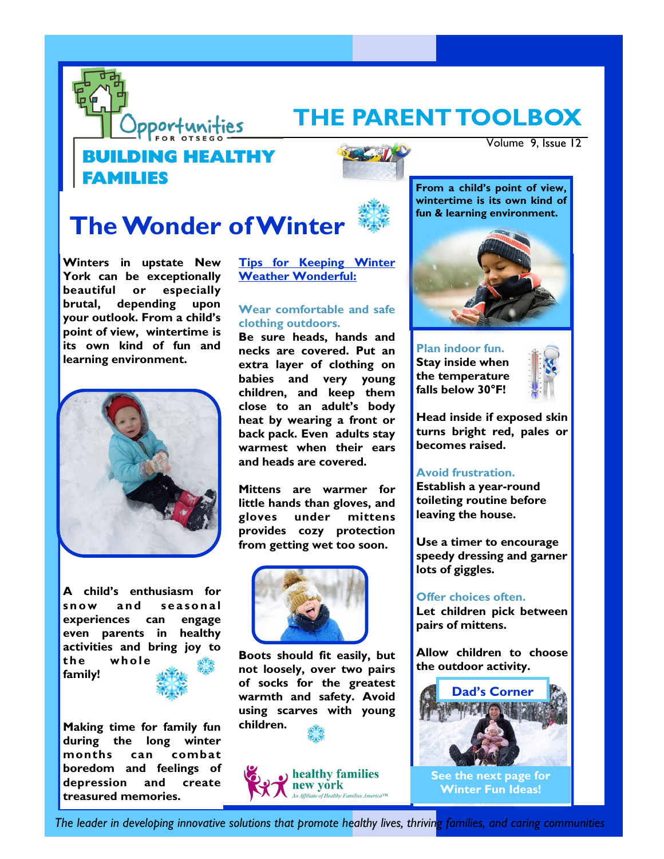

## THE PARENT TOOLBOX

### **ILDING HEALTHY FAMILIES**



Volume 9, Issue 12

# **The Wonder of Winter**

**Winters in upstate New York can be exceptionally beautiful or especially brutal, depending upon your outlook. From a child's point of view, wintertime is its own kind of fun and learning environment.** 



**A child's enthusiasm for**  snow and seasonal **experiences can engage even parents in healthy activities and bring joy to**  the whole **family!**

**Making time for family fun during the long winter months can combat boredom and feelings of depression and create treasured memories.** 

**Tips for Keeping Winter Weather Wonderful:**

#### **Wear comfortable and safe clothing outdoors.**

**Be sure heads, hands and necks are covered. Put an extra layer of clothing on babies and very young children, and keep them close to an adult's body heat by wearing a front or back pack. Even adults stay warmest when their ears and heads are covered.** 

**Mittens are warmer for little hands than gloves, and gloves under mittens provides cozy protection from getting wet too soon.** 



**Boots should fit easily, but not loosely, over two pairs of socks for the greatest warmth and safety. Avoid using scarves with young children.**



**From a child's point of view, wintertime is its own kind of fun & learning environment.** 



**Plan indoor fun. Stay inside when the temperature falls below 30°F!**



**Head inside if exposed skin turns bright red, pales or becomes raised.**

#### **Avoid frustration.**

**Establish a year-round toileting routine before leaving the house.** 

**Use a timer to encourage speedy dressing and garner lots of giggles.** 

**Offer choices often. Let children pick between pairs of mittens.** 

**Allow children to choose the outdoor activity.**



*The leader in developing innovative solutions that promote healthy lives, thriving families, and caring communities*